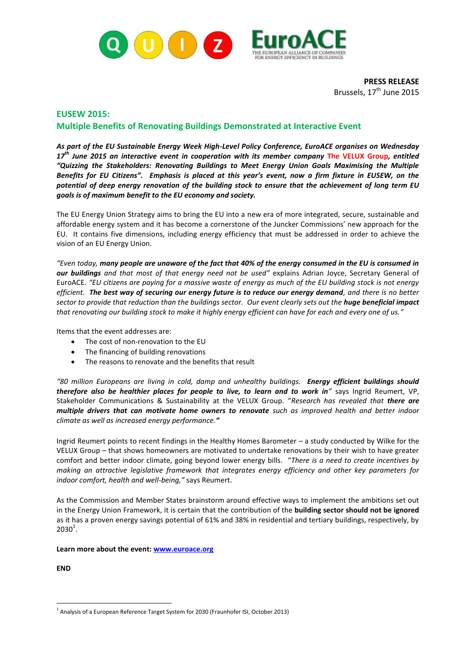

**PRESS RELEASE** Brussels, 17<sup>th</sup> June 2015

## **EUSEW 2015: Multiple Benefits of Renovating Buildings Demonstrated at Interactive Event**

*As part of the EU Sustainable Energy Week High-Level Policy Conference, EuroACE organises on Wednesday 17th June 2015 an interactive event in cooperation with its member company* **The VELUX Group***, entitled "Quizzing the Stakeholders: Renovating Buildings to Meet Energy Union Goals Maximising the Multiple Benefits for EU Citizens". Emphasis is placed at this year's event, now a firm fixture in EUSEW, on the potential of deep energy renovation of the building stock to ensure that the achievement of long term EU goals is of maximum benefit to the EU economy and society.*

The EU Energy Union Strategy aims to bring the EU into a new era of more integrated, secure, sustainable and affordable energy system and it has become a cornerstone of the Juncker Commissions' new approach for the EU. It contains five dimensions, including energy efficiency that must be addressed in order to achieve the vision of an EU Energy Union.

*"Even today, many people are unaware of the fact that 40% of the energy consumed in the EU is consumed in our buildings and that most of that energy need not be used"* explains Adrian Joyce, Secretary General of EuroACE. *"EU citizens are paying for a massive waste of energy as much of the EU building stock is not energy efficient. The best way of securing our energy future is to reduce our energy demand, and there is no better sector to provide that reduction than the buildings sector. Our event clearly sets out the huge beneficial impact that renovating our building stock to make it highly energy efficient can have for each and every one of us."*

Items that the event addresses are:

- The cost of non-renovation to the EU
- The financing of building renovations
- The reasons to renovate and the benefits that result

*"80 million Europeans are living in cold, damp and unhealthy buildings. Energy efficient buildings should therefore also be healthier places for people to live, to learn and to work in"* says Ingrid Reumert, VP, Stakeholder Communications & Sustainability at the VELUX Group. "*Research has revealed that there are multiple drivers that can motivate home owners to renovate such as improved health and better indoor climate as well as increased energy performance."*

Ingrid Reumert points to recent findings in the Healthy Homes Barometer – a study conducted by Wilke for the VELUX Group – that shows homeowners are motivated to undertake renovations by their wish to have greater comfort and better indoor climate, going beyond lower energy bills. "*There is a need to create incentives by making an attractive legislative framework that integrates energy efficiency and other key parameters for indoor comfort, health and well-being,"* says Reumert.

As the Commission and Member States brainstorm around effective ways to implement the ambitions set out in the Energy Union Framework, it is certain that the contribution of the **building sector should not be ignored**  as it has a proven energy savings potential of 61% and 38% in residential and tertiary buildings, respectively, by  $2030^1$ .

**Learn more about the event: [www.euroace.org](http://www.euroace.org/)**

**END**

<sup>1</sup>  $<sup>1</sup>$  Analysis of a European Reference Target System for 2030 (Fraunhofer ISI, October 2013)</sup>